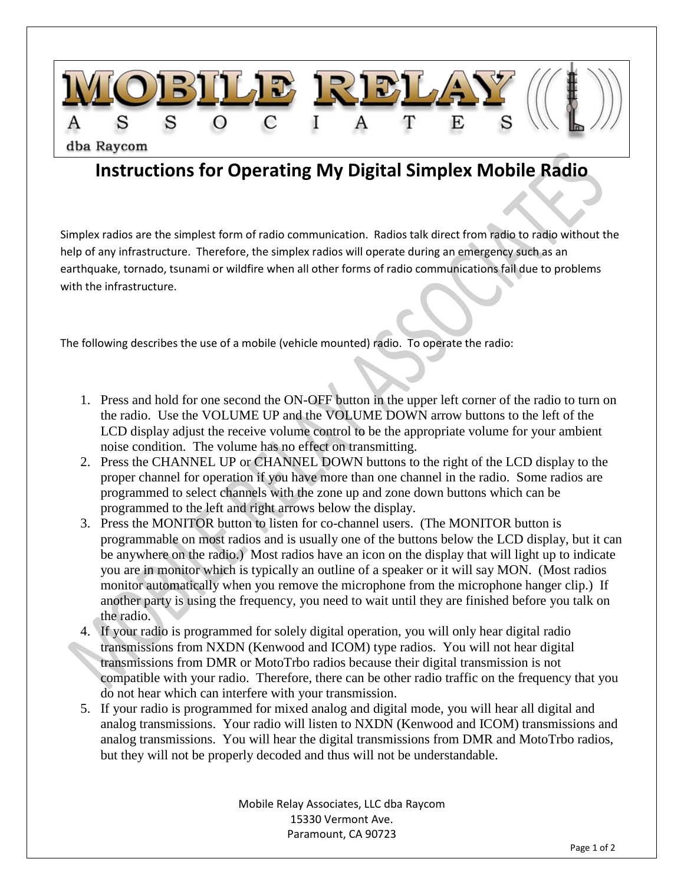

## **Instructions for Operating My Digital Simplex Mobile Radio**

Simplex radios are the simplest form of radio communication. Radios talk direct from radio to radio without the help of any infrastructure. Therefore, the simplex radios will operate during an emergency such as an earthquake, tornado, tsunami or wildfire when all other forms of radio communications fail due to problems with the infrastructure.

The following describes the use of a mobile (vehicle mounted) radio. To operate the radio:

- 1. Press and hold for one second the ON-OFF button in the upper left corner of the radio to turn on the radio. Use the VOLUME UP and the VOLUME DOWN arrow buttons to the left of the LCD display adjust the receive volume control to be the appropriate volume for your ambient noise condition. The volume has no effect on transmitting.
- 2. Press the CHANNEL UP or CHANNEL DOWN buttons to the right of the LCD display to the proper channel for operation if you have more than one channel in the radio. Some radios are programmed to select channels with the zone up and zone down buttons which can be programmed to the left and right arrows below the display.
- 3. Press the MONITOR button to listen for co-channel users. (The MONITOR button is programmable on most radios and is usually one of the buttons below the LCD display, but it can be anywhere on the radio.) Most radios have an icon on the display that will light up to indicate you are in monitor which is typically an outline of a speaker or it will say MON. (Most radios monitor automatically when you remove the microphone from the microphone hanger clip.) If another party is using the frequency, you need to wait until they are finished before you talk on the radio.
- 4. If your radio is programmed for solely digital operation, you will only hear digital radio transmissions from NXDN (Kenwood and ICOM) type radios. You will not hear digital transmissions from DMR or MotoTrbo radios because their digital transmission is not compatible with your radio. Therefore, there can be other radio traffic on the frequency that you do not hear which can interfere with your transmission.
- 5. If your radio is programmed for mixed analog and digital mode, you will hear all digital and analog transmissions. Your radio will listen to NXDN (Kenwood and ICOM) transmissions and analog transmissions. You will hear the digital transmissions from DMR and MotoTrbo radios, but they will not be properly decoded and thus will not be understandable.

Mobile Relay Associates, LLC dba Raycom 15330 Vermont Ave. Paramount, CA 90723